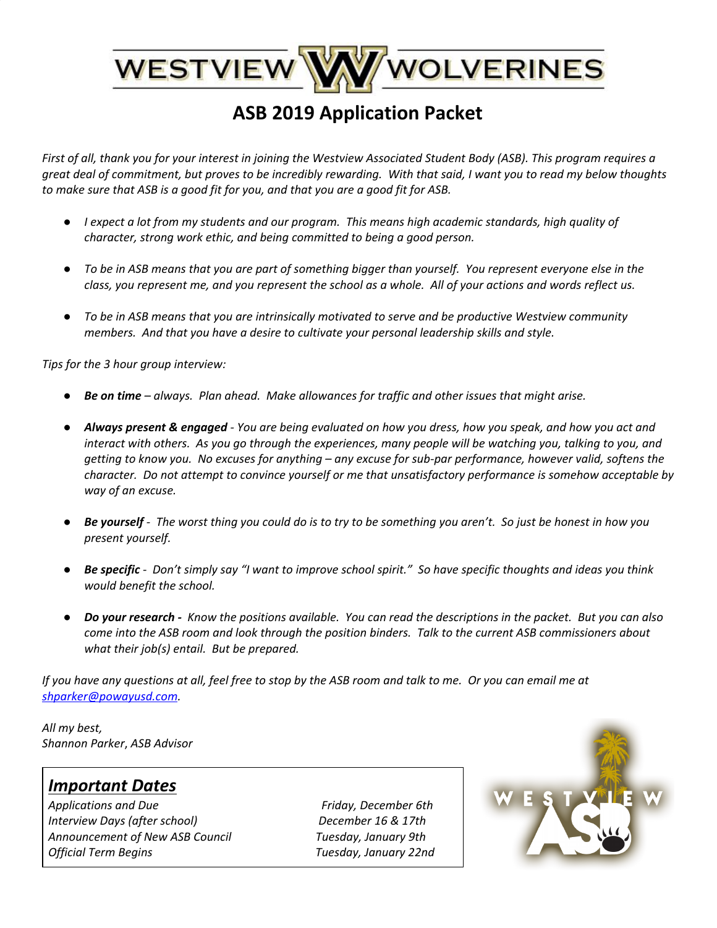# WESTVIEW WWW WOLVERINES

## **ASB 2019 Application Packet**

First of all, thank you for your interest in joining the Westview Associated Student Body (ASB). This program requires a great deal of commitment, but proves to be incredibly rewarding. With that said, I want you to read my below thoughts *to make sure that ASB is a good fit for you, and that you are a good fit for ASB.*

- I expect a lot from my students and our program. This means high academic standards, high quality of *character, strong work ethic, and being committed to being a good person.*
- To be in ASB means that you are part of something bigger than yourself. You represent everyone else in the class, you represent me, and you represent the school as a whole. All of your actions and words reflect us.
- *To be in ASB means that you are intrinsically motivated to serve and be productive Westview community members. And that you have a desire to cultivate your personal leadership skills and style.*

*Tips for the 3 hour group interview:*

- *Be on time – always. Plan ahead. Make allowances for traffic and other issues that might arise.*
- Always present & engaged You are being evaluated on how you dress, how you speak, and how you act and interact with others. As you go through the experiences, many people will be watching you, talking to you, and getting to know you. No excuses for anything – any excuse for sub-par performance, however valid, softens the *character. Do not attempt to convince yourself or me that unsatisfactory performance is somehow acceptable by way of an excuse.*
- Be yourself The worst thing you could do is to try to be something you aren't. So just be honest in how you *present yourself.*
- Be specific Don't simply say "I want to improve school spirit." So have specific thoughts and ideas you think *would benefit the school.*
- Do your research Know the positions available. You can read the descriptions in the packet. But you can also come into the ASB room and look through the position binders. Talk to the current ASB commissioners about *what their job(s) entail. But be prepared.*

If you have any questions at all, feel free to stop by the ASB room and talk to me. Or you can email me at *[shparker@powayusd.com.](mailto:shparker@powayusd.com)*

*All my best, Shannon Parker*, *ASB Advisor*

### *Important Dates*

*Applications and Due Friday, December 6th Interview Days (after school) December 16 & 17th Announcement of New ASB Council Tuesday, January 9th Official Term Begins Tuesday, January 22nd*

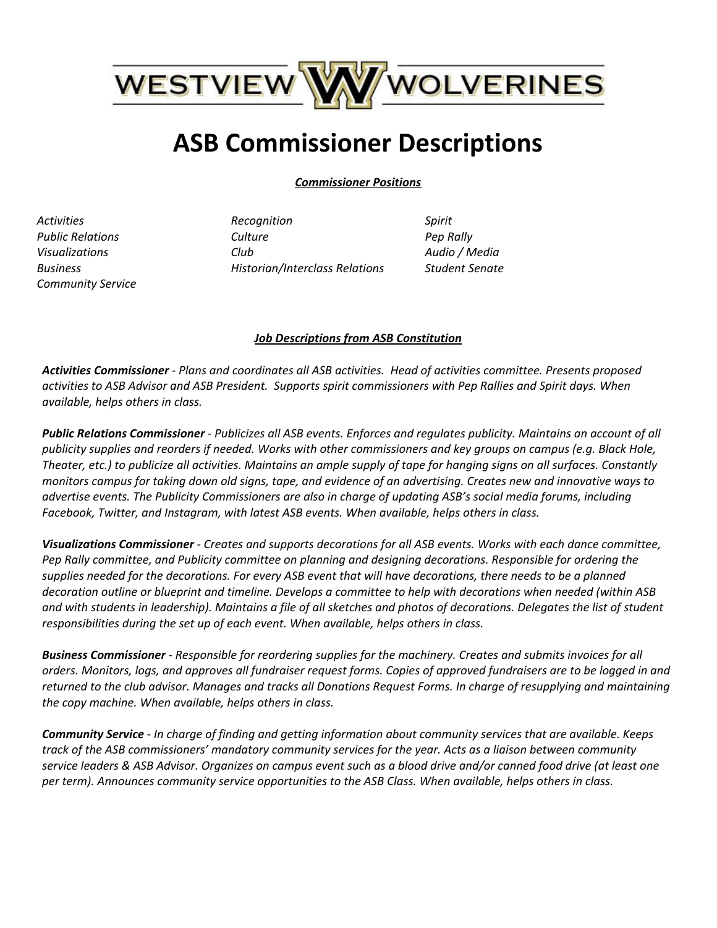

# **ASB Commissioner Descriptions**

*Commissioner Positions*

*Activities Public Relations Visualizations Business Community Service* *Recognition Culture Club Historian/Interclass Relations* *Spirit Pep Rally Audio / Media Student Senate*

#### *Job Descriptions from ASB Constitution*

*Activities Commissioner - Plans and coordinates all ASB activities. Head of activities committee. Presents proposed* activities to ASB Advisor and ASB President. Supports spirit commissioners with Pep Rallies and Spirit days. When *available, helps others in class.*

Public Relations Commissioner - Publicizes all ASB events. Enforces and regulates publicity. Maintains an account of all publicity supplies and reorders if needed. Works with other commissioners and key groups on campus (e.g. Black Hole, Theater, etc.) to publicize all activities. Maintains an ample supply of tape for hanging signs on all surfaces. Constantly monitors campus for taking down old signs, tape, and evidence of an advertising. Creates new and innovative ways to advertise events. The Publicity Commissioners are also in charge of updating ASB's social media forums, including *Facebook, Twitter, and Instagram, with latest ASB events. When available, helps others in class.*

Visualizations Commissioner - Creates and supports decorations for all ASB events. Works with each dance committee, *Pep Rally committee, and Publicity committee on planning and designing decorations. Responsible for ordering the* supplies needed for the decorations. For every ASB event that will have decorations, there needs to be a planned decoration outline or blueprint and timeline. Develops a committee to help with decorations when needed (within ASB and with students in leadership). Maintains a file of all sketches and photos of decorations. Delegates the list of student *responsibilities during the set up of each event. When available, helps others in class.*

Business Commissioner - Responsible for reordering supplies for the machinery. Creates and submits invoices for all orders. Monitors, logs, and approves all fundraiser request forms. Copies of approved fundraisers are to be logged in and returned to the club advisor. Manages and tracks all Donations Request Forms. In charge of resupplying and maintaining *the copy machine. When available, helps others in class.*

Community Service - In charge of finding and getting information about community services that are available. Keeps track of the ASB commissioners' mandatory community services for the year. Acts as a liaison between community service leaders & ASB Advisor. Organizes on campus event such as a blood drive and/or canned food drive (at least one *per term). Announces community service opportunities to the ASB Class. When available, helps others in class.*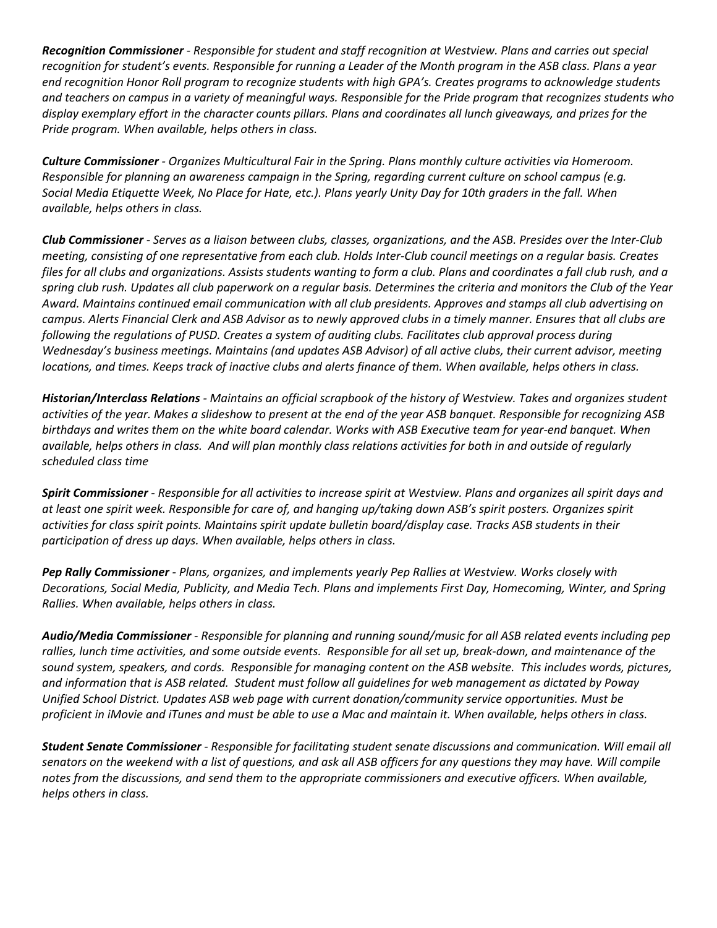Recognition Commissioner - Responsible for student and staff recognition at Westview. Plans and carries out special recognition for student's events. Responsible for running a Leader of the Month program in the ASB class. Plans a year end recognition Honor Roll program to recognize students with high GPA's. Creates programs to acknowledge students and teachers on campus in a variety of meaningful ways. Responsible for the Pride program that recognizes students who display exemplary effort in the character counts pillars. Plans and coordinates all lunch giveaways, and prizes for the *Pride program. When available, helps others in class.*

*Culture Commissioner - Organizes Multicultural Fair in the Spring. Plans monthly culture activities via Homeroom. Responsible for planning an awareness campaign in the Spring, regarding current culture on school campus (e.g.* Social Media Etiquette Week, No Place for Hate, etc.). Plans yearly Unity Day for 10th graders in the fall. When *available, helps others in class.*

Club Commissioner - Serves as a liaison between clubs, classes, organizations, and the ASB. Presides over the Inter-Club meeting, consisting of one representative from each club. Holds Inter-Club council meetings on a regular basis. Creates files for all clubs and organizations. Assists students wanting to form a club. Plans and coordinates a fall club rush, and a spring club rush. Updates all club paperwork on a regular basis. Determines the criteria and monitors the Club of the Year Award. Maintains continued email communication with all club presidents. Approves and stamps all club advertising on campus. Alerts Financial Clerk and ASB Advisor as to newly approved clubs in a timely manner. Ensures that all clubs are *following the regulations of PUSD. Creates a system of auditing clubs. Facilitates club approval process during* Wednesday's business meetings. Maintains (and updates ASB Advisor) of all active clubs, their current advisor, meeting locations, and times. Keeps track of inactive clubs and alerts finance of them. When available, helps others in class.

Historian/Interclass Relations - Maintains an official scrapbook of the history of Westview. Takes and organizes student activities of the year. Makes a slideshow to present at the end of the year ASB banquet. Responsible for recognizing ASB birthdays and writes them on the white board calendar. Works with ASB Executive team for year-end banquet. When available, helps others in class. And will plan monthly class relations activities for both in and outside of regularly *scheduled class time*

Spirit Commissioner - Responsible for all activities to increase spirit at Westview. Plans and organizes all spirit days and at least one spirit week. Responsible for care of, and hanging up/taking down ASB's spirit posters. Organizes spirit activities for class spirit points. Maintains spirit update bulletin board/display case. Tracks ASB students in their *participation of dress up days. When available, helps others in class.*

*Pep Rally Commissioner - Plans, organizes, and implements yearly Pep Rallies at Westview. Works closely with* Decorations, Social Media, Publicity, and Media Tech. Plans and implements First Day, Homecoming, Winter, and Spring *Rallies. When available, helps others in class.*

Audio/Media Commissioner - Responsible for planning and running sound/music for all ASB related events including pep rallies, lunch time activities, and some outside events. Responsible for all set up, break-down, and maintenance of the sound system, speakers, and cords. Responsible for managing content on the ASB website. This includes words, pictures, and information that is ASB related. Student must follow all guidelines for web management as dictated by Poway *Unified School District. Updates ASB web page with current donation/community service opportunities. Must be* proficient in iMovie and iTunes and must be able to use a Mac and maintain it. When available, helps others in class.

*Student Senate Commissioner - Responsible for facilitating student senate discussions and communication. Will email all* senators on the weekend with a list of questions, and ask all ASB officers for any questions they may have. Will compile notes from the discussions, and send them to the appropriate commissioners and executive officers. When available, *helps others in class.*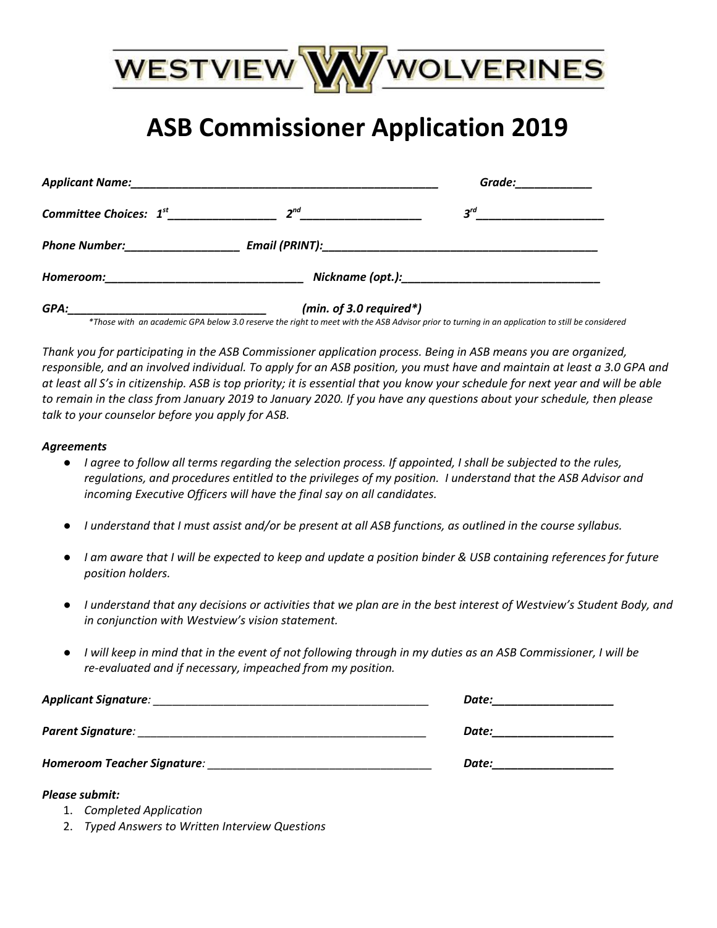

# **ASB Commissioner Application 2019**

| Committee Choices: $1^{st}$ and the committee Choices: $1^{st}$ and the committee Choices: $1^{st}$                                                                                                                            | $2^{nd}$                | $3^{rd}$<br><u> 1940 - Johann John Harry Harry Harry Harry Harry Harry Harry Harry Harry Harry Harry Harry Harry Harry Harry H</u> |
|--------------------------------------------------------------------------------------------------------------------------------------------------------------------------------------------------------------------------------|-------------------------|------------------------------------------------------------------------------------------------------------------------------------|
| <b>Phone Number:</b>                                                                                                                                                                                                           |                         |                                                                                                                                    |
| Homeroom: Note also a series and the series of the series of the series of the series of the series of the series of the series of the series of the series of the series of the series of the series of the series of the ser |                         |                                                                                                                                    |
| GPA:                                                                                                                                                                                                                           | (min. of 3.0 required*) |                                                                                                                                    |

\*Those with an academic GPA below 3.0 reserve the right to meet with the ASB Advisor prior to turning in an application to still be considered

Thank you for participating in the ASB Commissioner application process. Being in ASB means you are organized, responsible, and an involved individual. To apply for an ASB position, you must have and maintain at least a 3.0 GPA and at least all S's in citizenship. ASB is top priority; it is essential that you know your schedule for next year and will be able to remain in the class from January 2019 to January 2020. If you have any questions about your schedule, then please *talk to your counselor before you apply for ASB.*

#### *Agreements*

- I agree to follow all terms regarding the selection process. If appointed, I shall be subjected to the rules, regulations, and procedures entitled to the privileges of my position. I understand that the ASB Advisor and *incoming Executive Officers will have the final say on all candidates.*
- I understand that I must assist and/or be present at all ASB functions, as outlined in the course syllabus.
- I am aware that I will be expected to keep and update a position binder & USB containing references for future *position holders.*
- I understand that any decisions or activities that we plan are in the best interest of Westview's Student Body, and *in conjunction with Westview's vision statement.*
- I will keep in mind that in the event of not following through in my duties as an ASB Commissioner, I will be *re-evaluated and if necessary, impeached from my position.*

| Applicant Signature:        | Date: |
|-----------------------------|-------|
| Parent Signature:           | Date: |
| Homeroom Teacher Signature: | Date: |

#### *Please submit:*

- 1. *Completed Application*
- 2. *Typed Answers to Written Interview Questions*